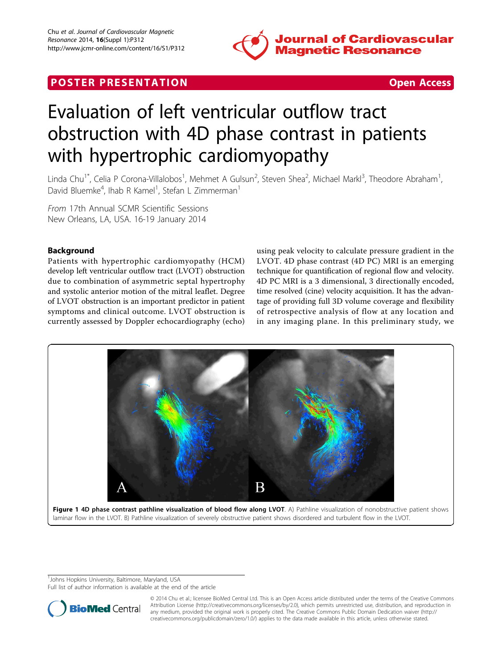

## **POSTER PRESENTATION CONSUMING THE SECOND CONSUMING THE SECOND CONSUMING THE SECOND CONSUMING THE SECOND CONSUMING THE SECOND CONSUMING THE SECOND CONSUMING THE SECOND CONSUMING THE SECOND CONSUMING THE SECOND CONSUMING**



# Evaluation of left ventricular outflow tract obstruction with 4D phase contrast in patients with hypertrophic cardiomyopathy

Linda Chu<sup>1\*</sup>, Celia P Corona-Villalobos<sup>1</sup>, Mehmet A Gulsun<sup>2</sup>, Steven Shea<sup>2</sup>, Michael Markl<sup>3</sup>, Theodore Abraham<sup>1</sup> , David Bluemke<sup>4</sup>, Ihab R Kamel<sup>1</sup>, Stefan L Zimmerman<sup>1</sup>

From 17th Annual SCMR Scientific Sessions New Orleans, LA, USA. 16-19 January 2014

### Background

Patients with hypertrophic cardiomyopathy (HCM) develop left ventricular outflow tract (LVOT) obstruction due to combination of asymmetric septal hypertrophy and systolic anterior motion of the mitral leaflet. Degree of LVOT obstruction is an important predictor in patient symptoms and clinical outcome. LVOT obstruction is currently assessed by Doppler echocardiography (echo)

using peak velocity to calculate pressure gradient in the LVOT. 4D phase contrast (4D PC) MRI is an emerging technique for quantification of regional flow and velocity. 4D PC MRI is a 3 dimensional, 3 directionally encoded, time resolved (cine) velocity acquisition. It has the advantage of providing full 3D volume coverage and flexibility of retrospective analysis of flow at any location and in any imaging plane. In this preliminary study, we



<sup>1</sup>Johns Hopkins University, Baltimore, Maryland, USA

Full list of author information is available at the end of the article



© 2014 Chu et al.; licensee BioMed Central Ltd. This is an Open Access article distributed under the terms of the Creative Commons Attribution License [\(http://creativecommons.org/licenses/by/2.0](http://creativecommons.org/licenses/by/2.0)), which permits unrestricted use, distribution, and reproduction in any medium, provided the original work is properly cited. The Creative Commons Public Domain Dedication waiver [\(http://](http://creativecommons.org/publicdomain/zero/1.0/) [creativecommons.org/publicdomain/zero/1.0/](http://creativecommons.org/publicdomain/zero/1.0/)) applies to the data made available in this article, unless otherwise stated.